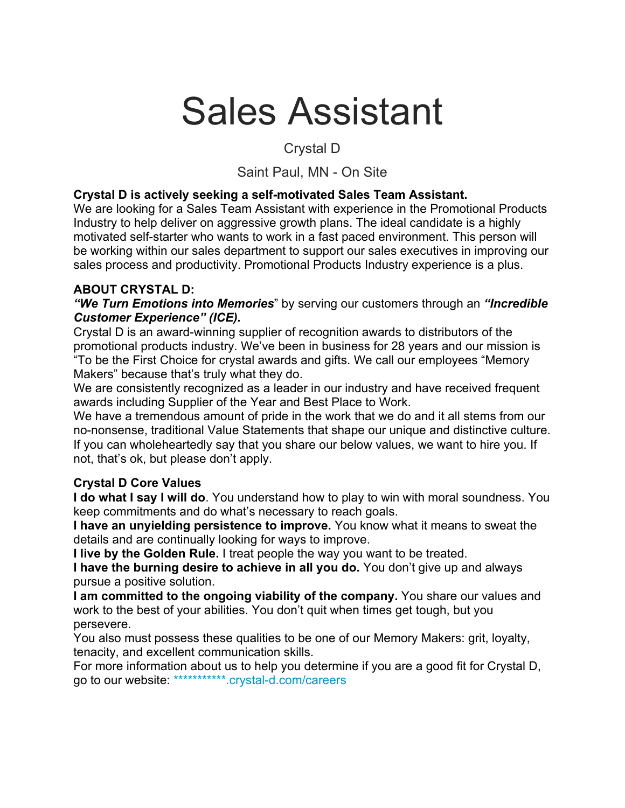# Sales Assistant

# Crystal D

# Saint Paul, MN - On Site

#### **Crystal D is actively seeking a self-motivated Sales Team Assistant.**

We are looking for a Sales Team Assistant with experience in the Promotional Products Industry to help deliver on aggressive growth plans. The ideal candidate is a highly motivated self-starter who wants to work in a fast paced environment. This person will be working within our sales department to support our sales executives in improving our sales process and productivity. Promotional Products Industry experience is a plus.

#### **ABOUT CRYSTAL D:**

*"We Turn Emotions into Memories*" by serving our customers through an *"Incredible Customer Experience" (ICE).*

Crystal D is an award-winning supplier of recognition awards to distributors of the promotional products industry. We've been in business for 28 years and our mission is "To be the First Choice for crystal awards and gifts. We call our employees "Memory Makers" because that's truly what they do.

We are consistently recognized as a leader in our industry and have received frequent awards including Supplier of the Year and Best Place to Work.

We have a tremendous amount of pride in the work that we do and it all stems from our no-nonsense, traditional Value Statements that shape our unique and distinctive culture. If you can wholeheartedly say that you share our below values, we want to hire you. If not, that's ok, but please don't apply.

#### **Crystal D Core Values**

**I do what I say I will do**. You understand how to play to win with moral soundness. You keep commitments and do what's necessary to reach goals.

**I have an unyielding persistence to improve.** You know what it means to sweat the details and are continually looking for ways to improve.

**I live by the Golden Rule.** I treat people the way you want to be treated.

**I have the burning desire to achieve in all you do.** You don't give up and always pursue a positive solution.

**I am committed to the ongoing viability of the company.** You share our values and work to the best of your abilities. You don't quit when times get tough, but you persevere.

You also must possess these qualities to be one of our Memory Makers: grit, loyalty, tenacity, and excellent communication skills.

For more information about us to help you determine if you are a good fit for Crystal D, go to our website: \*\*\*\*\*\*\*\*\*\*\*.crystal-d.com/careers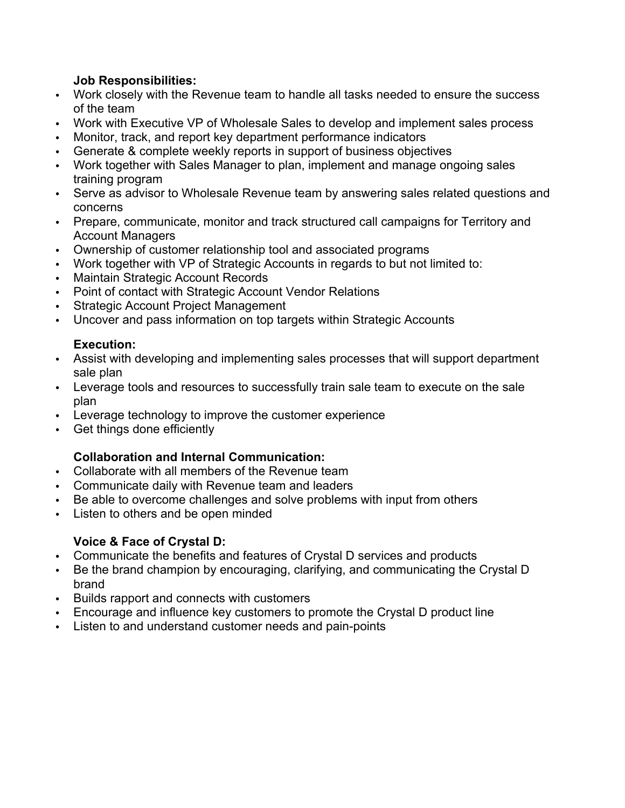#### **Job Responsibilities:**

- Work closely with the Revenue team to handle all tasks needed to ensure the success of the team
- Work with Executive VP of Wholesale Sales to develop and implement sales process
- Monitor, track, and report key department performance indicators
- Generate & complete weekly reports in support of business objectives
- Work together with Sales Manager to plan, implement and manage ongoing sales training program
- Serve as advisor to Wholesale Revenue team by answering sales related questions and concerns
- Prepare, communicate, monitor and track structured call campaigns for Territory and Account Managers
- Ownership of customer relationship tool and associated programs
- Work together with VP of Strategic Accounts in regards to but not limited to:
- Maintain Strategic Account Records
- Point of contact with Strategic Account Vendor Relations
- Strategic Account Project Management
- Uncover and pass information on top targets within Strategic Accounts

#### **Execution:**

- Assist with developing and implementing sales processes that will support department sale plan
- Leverage tools and resources to successfully train sale team to execute on the sale plan
- Leverage technology to improve the customer experience
- Get things done efficiently

#### **Collaboration and Internal Communication:**

- Collaborate with all members of the Revenue team
- Communicate daily with Revenue team and leaders
- Be able to overcome challenges and solve problems with input from others
- Listen to others and be open minded

#### **Voice & Face of Crystal D:**

- Communicate the benefits and features of Crystal D services and products
- Be the brand champion by encouraging, clarifying, and communicating the Crystal D brand
- Builds rapport and connects with customers
- Encourage and influence key customers to promote the Crystal D product line
- Listen to and understand customer needs and pain-points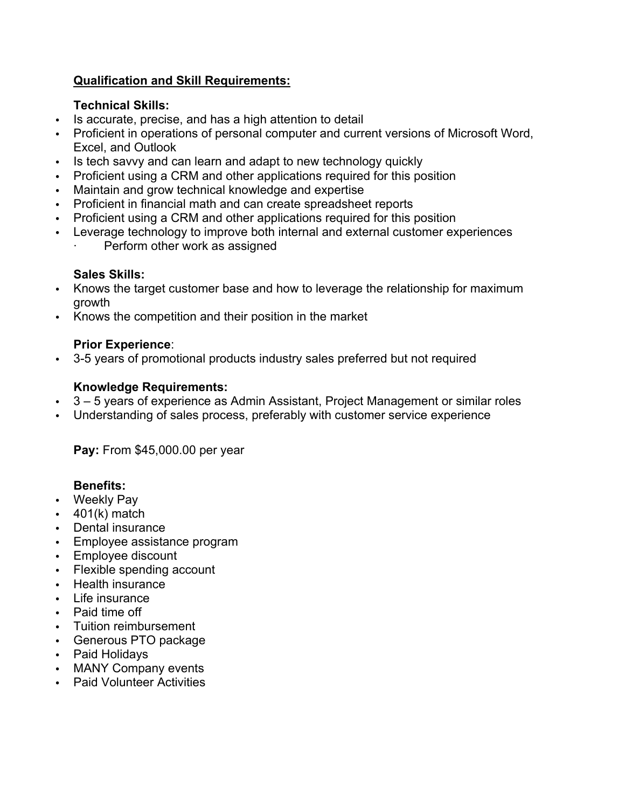#### **Qualification and Skill Requirements:**

#### **Technical Skills:**

- Is accurate, precise, and has a high attention to detail
- Proficient in operations of personal computer and current versions of Microsoft Word, Excel, and Outlook
- Is tech savvy and can learn and adapt to new technology quickly
- Proficient using a CRM and other applications required for this position
- Maintain and grow technical knowledge and expertise
- Proficient in financial math and can create spreadsheet reports
- Proficient using a CRM and other applications required for this position
- Leverage technology to improve both internal and external customer experiences Perform other work as assigned

#### **Sales Skills:**

- Knows the target customer base and how to leverage the relationship for maximum growth
- Knows the competition and their position in the market

#### **Prior Experience**:

3-5 years of promotional products industry sales preferred but not required

#### **Knowledge Requirements:**

- 3 5 years of experience as Admin Assistant, Project Management or similar roles
- Understanding of sales process, preferably with customer service experience

**Pay:** From \$45,000.00 per year

#### **Benefits:**

- Weekly Pay
- $\cdot$  401(k) match
- Dental insurance
- Employee assistance program
- Employee discount
- Flexible spending account
- Health insurance
- Life insurance
- Paid time off
- Tuition reimbursement
- Generous PTO package
- Paid Holidays
- MANY Company events
- Paid Volunteer Activities